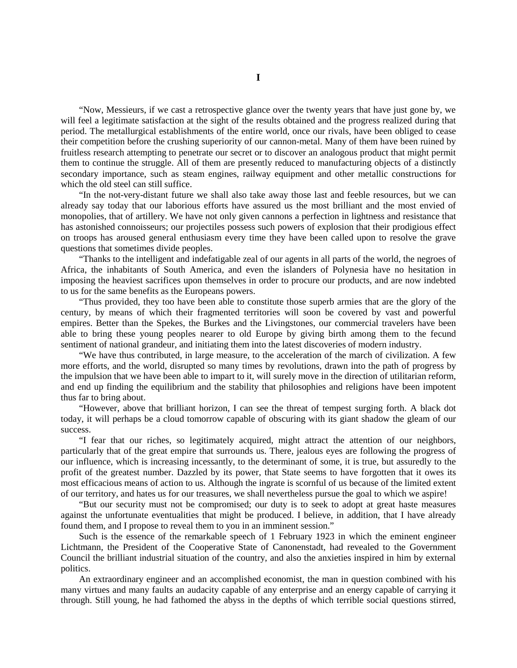"Now, Messieurs, if we cast a retrospective glance over the twenty years that have just gone by, we will feel a legitimate satisfaction at the sight of the results obtained and the progress realized during that period. The metallurgical establishments of the entire world, once our rivals, have been obliged to cease their competition before the crushing superiority of our cannon-metal. Many of them have been ruined by fruitless research attempting to penetrate our secret or to discover an analogous product that might permit them to continue the struggle. All of them are presently reduced to manufacturing objects of a distinctly secondary importance, such as steam engines, railway equipment and other metallic constructions for which the old steel can still suffice.

"In the not-very-distant future we shall also take away those last and feeble resources, but we can already say today that our laborious efforts have assured us the most brilliant and the most envied of monopolies, that of artillery. We have not only given cannons a perfection in lightness and resistance that has astonished connoisseurs; our projectiles possess such powers of explosion that their prodigious effect on troops has aroused general enthusiasm every time they have been called upon to resolve the grave questions that sometimes divide peoples.

"Thanks to the intelligent and indefatigable zeal of our agents in all parts of the world, the negroes of Africa, the inhabitants of South America, and even the islanders of Polynesia have no hesitation in imposing the heaviest sacrifices upon themselves in order to procure our products, and are now indebted to us for the same benefits as the Europeans powers.

"Thus provided, they too have been able to constitute those superb armies that are the glory of the century, by means of which their fragmented territories will soon be covered by vast and powerful empires. Better than the Spekes, the Burkes and the Livingstones, our commercial travelers have been able to bring these young peoples nearer to old Europe by giving birth among them to the fecund sentiment of national grandeur, and initiating them into the latest discoveries of modern industry.

"We have thus contributed, in large measure, to the acceleration of the march of civilization. A few more efforts, and the world, disrupted so many times by revolutions, drawn into the path of progress by the impulsion that we have been able to impart to it, will surely move in the direction of utilitarian reform, and end up finding the equilibrium and the stability that philosophies and religions have been impotent thus far to bring about.

"However, above that brilliant horizon, I can see the threat of tempest surging forth. A black dot today, it will perhaps be a cloud tomorrow capable of obscuring with its giant shadow the gleam of our success.

"I fear that our riches, so legitimately acquired, might attract the attention of our neighbors, particularly that of the great empire that surrounds us. There, jealous eyes are following the progress of our influence, which is increasing incessantly, to the determinant of some, it is true, but assuredly to the profit of the greatest number. Dazzled by its power, that State seems to have forgotten that it owes its most efficacious means of action to us. Although the ingrate is scornful of us because of the limited extent of our territory, and hates us for our treasures, we shall nevertheless pursue the goal to which we aspire!

"But our security must not be compromised; our duty is to seek to adopt at great haste measures against the unfortunate eventualities that might be produced. I believe, in addition, that I have already found them, and I propose to reveal them to you in an imminent session."

Such is the essence of the remarkable speech of 1 February 1923 in which the eminent engineer Lichtmann, the President of the Cooperative State of Canonenstadt, had revealed to the Government Council the brilliant industrial situation of the country, and also the anxieties inspired in him by external politics.

An extraordinary engineer and an accomplished economist, the man in question combined with his many virtues and many faults an audacity capable of any enterprise and an energy capable of carrying it through. Still young, he had fathomed the abyss in the depths of which terrible social questions stirred,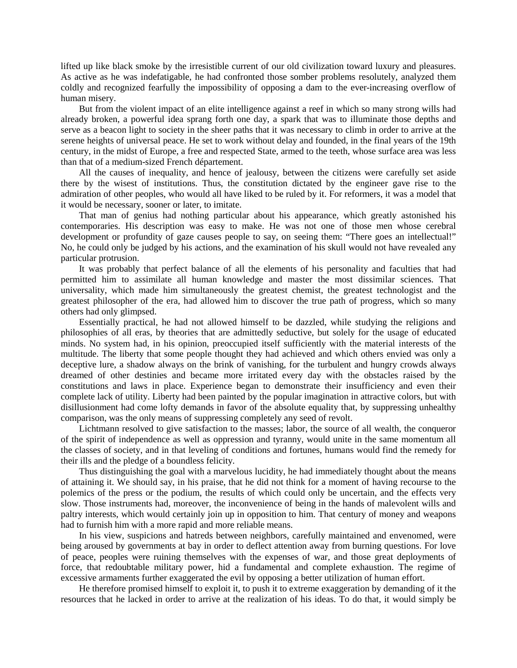lifted up like black smoke by the irresistible current of our old civilization toward luxury and pleasures. As active as he was indefatigable, he had confronted those somber problems resolutely, analyzed them coldly and recognized fearfully the impossibility of opposing a dam to the ever-increasing overflow of human misery.

But from the violent impact of an elite intelligence against a reef in which so many strong wills had already broken, a powerful idea sprang forth one day, a spark that was to illuminate those depths and serve as a beacon light to society in the sheer paths that it was necessary to climb in order to arrive at the serene heights of universal peace. He set to work without delay and founded, in the final years of the 19th century, in the midst of Europe, a free and respected State, armed to the teeth, whose surface area was less than that of a medium-sized French département.

All the causes of inequality, and hence of jealousy, between the citizens were carefully set aside there by the wisest of institutions. Thus, the constitution dictated by the engineer gave rise to the admiration of other peoples, who would all have liked to be ruled by it. For reformers, it was a model that it would be necessary, sooner or later, to imitate.

That man of genius had nothing particular about his appearance, which greatly astonished his contemporaries. His description was easy to make. He was not one of those men whose cerebral development or profundity of gaze causes people to say, on seeing them: "There goes an intellectual!" No, he could only be judged by his actions, and the examination of his skull would not have revealed any particular protrusion.

It was probably that perfect balance of all the elements of his personality and faculties that had permitted him to assimilate all human knowledge and master the most dissimilar sciences. That universality, which made him simultaneously the greatest chemist, the greatest technologist and the greatest philosopher of the era, had allowed him to discover the true path of progress, which so many others had only glimpsed.

Essentially practical, he had not allowed himself to be dazzled, while studying the religions and philosophies of all eras, by theories that are admittedly seductive, but solely for the usage of educated minds. No system had, in his opinion, preoccupied itself sufficiently with the material interests of the multitude. The liberty that some people thought they had achieved and which others envied was only a deceptive lure, a shadow always on the brink of vanishing, for the turbulent and hungry crowds always dreamed of other destinies and became more irritated every day with the obstacles raised by the constitutions and laws in place. Experience began to demonstrate their insufficiency and even their complete lack of utility. Liberty had been painted by the popular imagination in attractive colors, but with disillusionment had come lofty demands in favor of the absolute equality that, by suppressing unhealthy comparison, was the only means of suppressing completely any seed of revolt.

Lichtmann resolved to give satisfaction to the masses; labor, the source of all wealth, the conqueror of the spirit of independence as well as oppression and tyranny, would unite in the same momentum all the classes of society, and in that leveling of conditions and fortunes, humans would find the remedy for their ills and the pledge of a boundless felicity.

Thus distinguishing the goal with a marvelous lucidity, he had immediately thought about the means of attaining it. We should say, in his praise, that he did not think for a moment of having recourse to the polemics of the press or the podium, the results of which could only be uncertain, and the effects very slow. Those instruments had, moreover, the inconvenience of being in the hands of malevolent wills and paltry interests, which would certainly join up in opposition to him. That century of money and weapons had to furnish him with a more rapid and more reliable means.

In his view, suspicions and hatreds between neighbors, carefully maintained and envenomed, were being aroused by governments at bay in order to deflect attention away from burning questions. For love of peace, peoples were ruining themselves with the expenses of war, and those great deployments of force, that redoubtable military power, hid a fundamental and complete exhaustion. The regime of excessive armaments further exaggerated the evil by opposing a better utilization of human effort.

He therefore promised himself to exploit it, to push it to extreme exaggeration by demanding of it the resources that he lacked in order to arrive at the realization of his ideas. To do that, it would simply be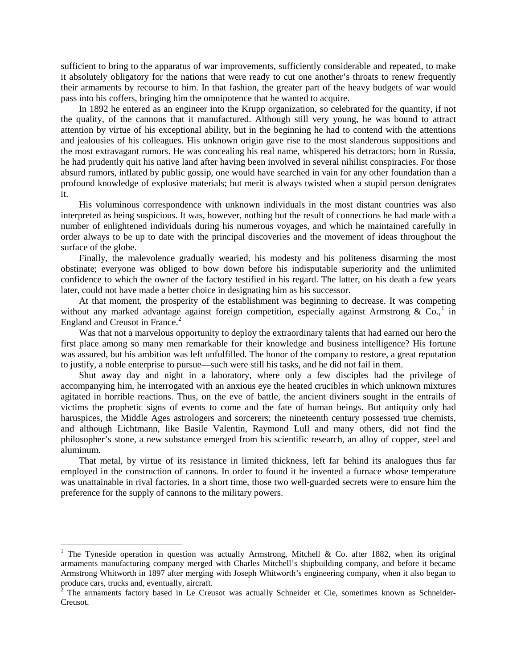sufficient to bring to the apparatus of war improvements, sufficiently considerable and repeated, to make it absolutely obligatory for the nations that were ready to cut one another's throats to renew frequently their armaments by recourse to him. In that fashion, the greater part of the heavy budgets of war would pass into his coffers, bringing him the omnipotence that he wanted to acquire.

In 1892 he entered as an engineer into the Krupp organization, so celebrated for the quantity, if not the quality, of the cannons that it manufactured. Although still very young, he was bound to attract attention by virtue of his exceptional ability, but in the beginning he had to contend with the attentions and jealousies of his colleagues. His unknown origin gave rise to the most slanderous suppositions and the most extravagant rumors. He was concealing his real name, whispered his detractors; born in Russia, he had prudently quit his native land after having been involved in several nihilist conspiracies. For those absurd rumors, inflated by public gossip, one would have searched in vain for any other foundation than a profound knowledge of explosive materials; but merit is always twisted when a stupid person denigrates it.

His voluminous correspondence with unknown individuals in the most distant countries was also interpreted as being suspicious. It was, however, nothing but the result of connections he had made with a number of enlightened individuals during his numerous voyages, and which he maintained carefully in order always to be up to date with the principal discoveries and the movement of ideas throughout the surface of the globe.

Finally, the malevolence gradually wearied, his modesty and his politeness disarming the most obstinate; everyone was obliged to bow down before his indisputable superiority and the unlimited confidence to which the owner of the factory testified in his regard. The latter, on his death a few years later, could not have made a better choice in designating him as his successor.

At that moment, the prosperity of the establishment was beginning to decrease. It was competing without any marked advantage against foreign competition, especially against Armstrong &  $Co^{1}$  $Co^{1}$  $Co^{1}$  in England and Creusot in France.<sup>[2](#page-2-1)</sup>

Was that not a marvelous opportunity to deploy the extraordinary talents that had earned our hero the first place among so many men remarkable for their knowledge and business intelligence? His fortune was assured, but his ambition was left unfulfilled. The honor of the company to restore, a great reputation to justify, a noble enterprise to pursue—such were still his tasks, and he did not fail in them.

Shut away day and night in a laboratory, where only a few disciples had the privilege of accompanying him, he interrogated with an anxious eye the heated crucibles in which unknown mixtures agitated in horrible reactions. Thus, on the eve of battle, the ancient diviners sought in the entrails of victims the prophetic signs of events to come and the fate of human beings. But antiquity only had haruspices, the Middle Ages astrologers and sorcerers; the nineteenth century possessed true chemists, and although Lichtmann, like Basile Valentin, Raymond Lull and many others, did not find the philosopher's stone, a new substance emerged from his scientific research, an alloy of copper, steel and aluminum.

That metal, by virtue of its resistance in limited thickness, left far behind its analogues thus far employed in the construction of cannons. In order to found it he invented a furnace whose temperature was unattainable in rival factories. In a short time, those two well-guarded secrets were to ensure him the preference for the supply of cannons to the military powers.

<span id="page-2-0"></span><sup>&</sup>lt;sup>1</sup> The Tyneside operation in question was actually Armstrong, Mitchell & Co. after 1882, when its original armaments manufacturing company merged with Charles Mitchell's shipbuilding company, and before it became Armstrong Whitworth in 1897 after merging with Joseph Whitworth's engineering company, when it also began to produce cars, trucks and, eventually, aircraft.

<span id="page-2-1"></span> $2$  The armaments factory based in Le Creusot was actually Schneider et Cie, sometimes known as Schneider-Creusot.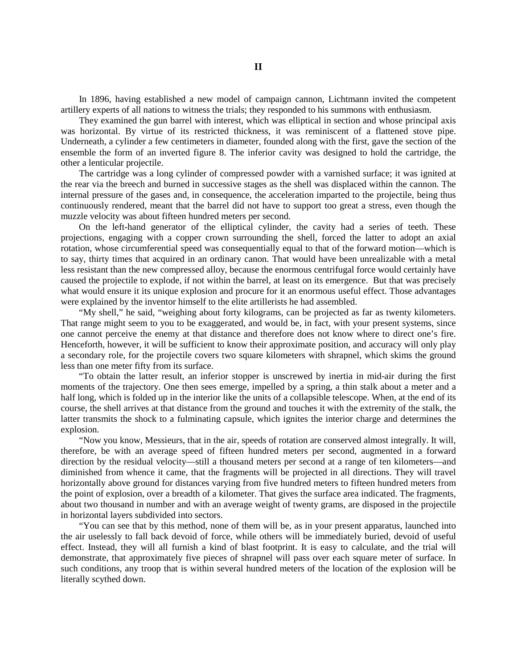In 1896, having established a new model of campaign cannon, Lichtmann invited the competent artillery experts of all nations to witness the trials; they responded to his summons with enthusiasm.

They examined the gun barrel with interest, which was elliptical in section and whose principal axis was horizontal. By virtue of its restricted thickness, it was reminiscent of a flattened stove pipe. Underneath, a cylinder a few centimeters in diameter, founded along with the first, gave the section of the ensemble the form of an inverted figure 8. The inferior cavity was designed to hold the cartridge, the other a lenticular projectile.

The cartridge was a long cylinder of compressed powder with a varnished surface; it was ignited at the rear via the breech and burned in successive stages as the shell was displaced within the cannon. The internal pressure of the gases and, in consequence, the acceleration imparted to the projectile, being thus continuously rendered, meant that the barrel did not have to support too great a stress, even though the muzzle velocity was about fifteen hundred meters per second.

On the left-hand generator of the elliptical cylinder, the cavity had a series of teeth. These projections, engaging with a copper crown surrounding the shell, forced the latter to adopt an axial rotation, whose circumferential speed was consequentially equal to that of the forward motion—which is to say, thirty times that acquired in an ordinary canon. That would have been unrealizable with a metal less resistant than the new compressed alloy, because the enormous centrifugal force would certainly have caused the projectile to explode, if not within the barrel, at least on its emergence. But that was precisely what would ensure it its unique explosion and procure for it an enormous useful effect. Those advantages were explained by the inventor himself to the elite artillerists he had assembled.

"My shell," he said, "weighing about forty kilograms, can be projected as far as twenty kilometers. That range might seem to you to be exaggerated, and would be, in fact, with your present systems, since one cannot perceive the enemy at that distance and therefore does not know where to direct one's fire. Henceforth, however, it will be sufficient to know their approximate position, and accuracy will only play a secondary role, for the projectile covers two square kilometers with shrapnel, which skims the ground less than one meter fifty from its surface.

"To obtain the latter result, an inferior stopper is unscrewed by inertia in mid-air during the first moments of the trajectory. One then sees emerge, impelled by a spring, a thin stalk about a meter and a half long, which is folded up in the interior like the units of a collapsible telescope. When, at the end of its course, the shell arrives at that distance from the ground and touches it with the extremity of the stalk, the latter transmits the shock to a fulminating capsule, which ignites the interior charge and determines the explosion.

"Now you know, Messieurs, that in the air, speeds of rotation are conserved almost integrally. It will, therefore, be with an average speed of fifteen hundred meters per second, augmented in a forward direction by the residual velocity—still a thousand meters per second at a range of ten kilometers—and diminished from whence it came, that the fragments will be projected in all directions. They will travel horizontally above ground for distances varying from five hundred meters to fifteen hundred meters from the point of explosion, over a breadth of a kilometer. That gives the surface area indicated. The fragments, about two thousand in number and with an average weight of twenty grams, are disposed in the projectile in horizontal layers subdivided into sectors.

"You can see that by this method, none of them will be, as in your present apparatus, launched into the air uselessly to fall back devoid of force, while others will be immediately buried, devoid of useful effect. Instead, they will all furnish a kind of blast footprint. It is easy to calculate, and the trial will demonstrate, that approximately five pieces of shrapnel will pass over each square meter of surface. In such conditions, any troop that is within several hundred meters of the location of the explosion will be literally scythed down.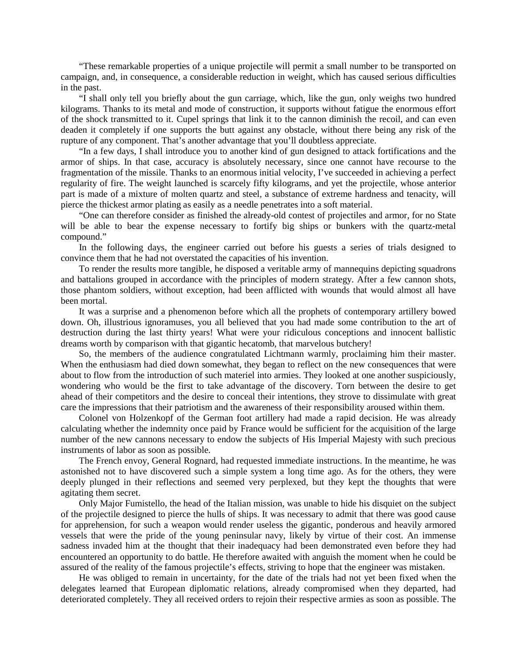"These remarkable properties of a unique projectile will permit a small number to be transported on campaign, and, in consequence, a considerable reduction in weight, which has caused serious difficulties in the past.

"I shall only tell you briefly about the gun carriage, which, like the gun, only weighs two hundred kilograms. Thanks to its metal and mode of construction, it supports without fatigue the enormous effort of the shock transmitted to it. Cupel springs that link it to the cannon diminish the recoil, and can even deaden it completely if one supports the butt against any obstacle, without there being any risk of the rupture of any component. That's another advantage that you'll doubtless appreciate.

"In a few days, I shall introduce you to another kind of gun designed to attack fortifications and the armor of ships. In that case, accuracy is absolutely necessary, since one cannot have recourse to the fragmentation of the missile. Thanks to an enormous initial velocity, I've succeeded in achieving a perfect regularity of fire. The weight launched is scarcely fifty kilograms, and yet the projectile, whose anterior part is made of a mixture of molten quartz and steel, a substance of extreme hardness and tenacity, will pierce the thickest armor plating as easily as a needle penetrates into a soft material.

"One can therefore consider as finished the already-old contest of projectiles and armor, for no State will be able to bear the expense necessary to fortify big ships or bunkers with the quartz-metal compound."

In the following days, the engineer carried out before his guests a series of trials designed to convince them that he had not overstated the capacities of his invention.

To render the results more tangible, he disposed a veritable army of mannequins depicting squadrons and battalions grouped in accordance with the principles of modern strategy. After a few cannon shots, those phantom soldiers, without exception, had been afflicted with wounds that would almost all have been mortal.

It was a surprise and a phenomenon before which all the prophets of contemporary artillery bowed down. Oh, illustrious ignoramuses, you all believed that you had made some contribution to the art of destruction during the last thirty years! What were your ridiculous conceptions and innocent ballistic dreams worth by comparison with that gigantic hecatomb, that marvelous butchery!

So, the members of the audience congratulated Lichtmann warmly, proclaiming him their master. When the enthusiasm had died down somewhat, they began to reflect on the new consequences that were about to flow from the introduction of such materiel into armies. They looked at one another suspiciously, wondering who would be the first to take advantage of the discovery. Torn between the desire to get ahead of their competitors and the desire to conceal their intentions, they strove to dissimulate with great care the impressions that their patriotism and the awareness of their responsibility aroused within them.

Colonel von Holzenkopf of the German foot artillery had made a rapid decision. He was already calculating whether the indemnity once paid by France would be sufficient for the acquisition of the large number of the new cannons necessary to endow the subjects of His Imperial Majesty with such precious instruments of labor as soon as possible.

The French envoy, General Rognard, had requested immediate instructions. In the meantime, he was astonished not to have discovered such a simple system a long time ago. As for the others, they were deeply plunged in their reflections and seemed very perplexed, but they kept the thoughts that were agitating them secret.

Only Major Fumistello, the head of the Italian mission, was unable to hide his disquiet on the subject of the projectile designed to pierce the hulls of ships. It was necessary to admit that there was good cause for apprehension, for such a weapon would render useless the gigantic, ponderous and heavily armored vessels that were the pride of the young peninsular navy, likely by virtue of their cost. An immense sadness invaded him at the thought that their inadequacy had been demonstrated even before they had encountered an opportunity to do battle. He therefore awaited with anguish the moment when he could be assured of the reality of the famous projectile's effects, striving to hope that the engineer was mistaken.

He was obliged to remain in uncertainty, for the date of the trials had not yet been fixed when the delegates learned that European diplomatic relations, already compromised when they departed, had deteriorated completely. They all received orders to rejoin their respective armies as soon as possible. The